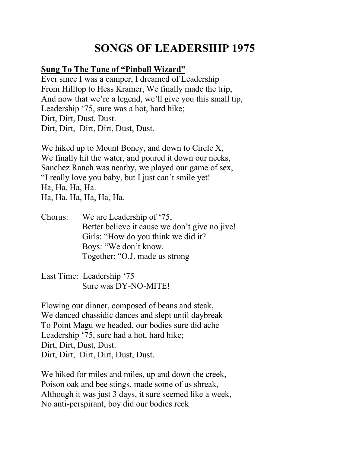## **SONGS OF LEADERSHIP 1975**

## **Sung To The Tune of "Pinball Wizard"**

Ever since I was a camper, I dreamed of Leadership From Hilltop to Hess Kramer, We finally made the trip, And now that we're a legend, we'll give you this small tip, Leadership '75, sure was a hot, hard hike; Dirt, Dirt, Dust, Dust. Dirt, Dirt, Dirt, Dirt, Dust, Dust.

We hiked up to Mount Boney, and down to Circle X, We finally hit the water, and poured it down our necks, Sanchez Ranch was nearby, we played our game of sex, "I really love you baby, but I just can't smile yet! Ha, Ha, Ha, Ha. Ha, Ha, Ha, Ha, Ha, Ha.

Chorus: We are Leadership of '75, Better believe it cause we don't give no jive! Girls: "How do you think we did it? Boys: "We don't know. Together: "O.J. made us strong

Last Time: Leadership '75 Sure was DY-NO-MITE!

Flowing our dinner, composed of beans and steak, We danced chassidic dances and slept until daybreak To Point Magu we headed, our bodies sure did ache Leadership '75, sure had a hot, hard hike; Dirt, Dirt, Dust, Dust. Dirt, Dirt, Dirt, Dirt, Dust, Dust.

We hiked for miles and miles, up and down the creek, Poison oak and bee stings, made some of us shreak, Although it was just 3 days, it sure seemed like a week, No anti-perspirant, boy did our bodies reek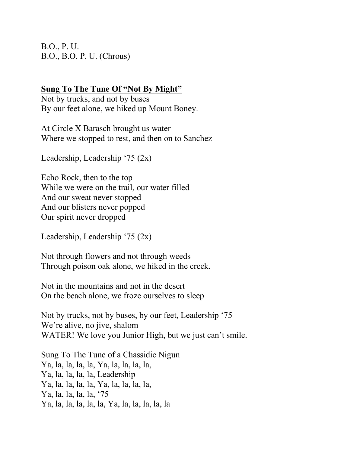B.O., P. U. B.O., B.O. P. U. (Chrous)

## **Sung To The Tune Of "Not By Might"**

Not by trucks, and not by buses By our feet alone, we hiked up Mount Boney.

At Circle X Barasch brought us water Where we stopped to rest, and then on to Sanchez

Leadership, Leadership '75 (2x)

Echo Rock, then to the top While we were on the trail, our water filled And our sweat never stopped And our blisters never popped Our spirit never dropped

Leadership, Leadership '75 (2x)

Not through flowers and not through weeds Through poison oak alone, we hiked in the creek.

Not in the mountains and not in the desert On the beach alone, we froze ourselves to sleep

Not by trucks, not by buses, by our feet, Leadership '75 We're alive, no jive, shalom WATER! We love you Junior High, but we just can't smile.

Sung To The Tune of a Chassidic Nigun Ya, la, la, la, la, Ya, la, la, la, la, Ya, la, la, la, la, Leadership Ya, la, la, la, la, Ya, la, la, la, la, Ya, la, la, la, la, '75 Ya, la, la, la, la, la, Ya, la, la, la, la, la